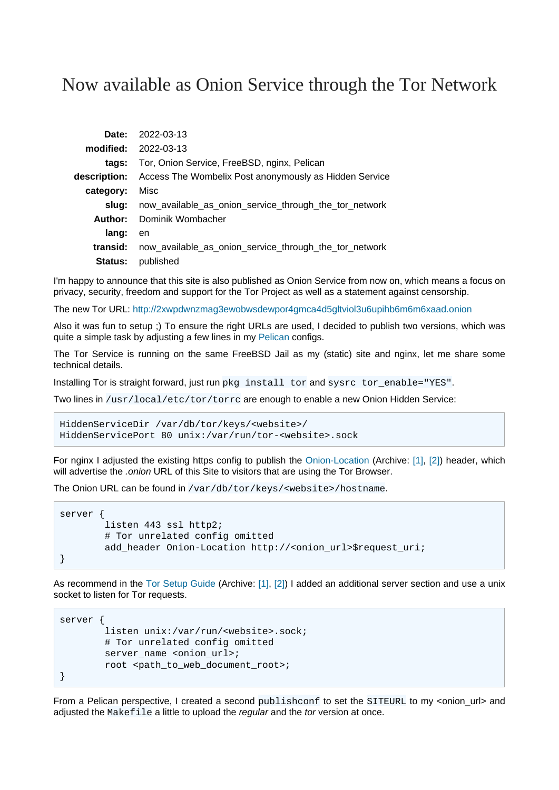## Now available as Onion Service through the Tor Network

|                | Date: 2022-03-13                                       |
|----------------|--------------------------------------------------------|
|                | <b>modified:</b> 2022-03-13                            |
| tags:          | Tor, Onion Service, FreeBSD, nginx, Pelican            |
| description:   | Access The Wombelix Post anonymously as Hidden Service |
| category:      | Misc                                                   |
| slua:          | now_available_as_onion_service_through_the_tor_network |
| Author:        | Dominik Wombacher                                      |
| lang:          | en                                                     |
| transid:       | now_available_as_onion_service_through_the_tor_network |
| <b>Status:</b> | published                                              |

I'm happy to announce that this site is also published as Onion Service from now on, which means a focus on privacy, security, freedom and support for the Tor Project as well as a statement against censorship.

The new Tor URL:<http://2xwpdwnzmag3ewobwsdewpor4gmca4d5gltviol3u6upihb6m6m6xaad.onion>

Also it was fun to setup ;) To ensure the right URLs are used, I decided to publish two versions, which was quite a simple task by adjusting a few lines in my [Pelican](https://getpelican.com) configs.

The Tor Service is running on the same FreeBSD Jail as my (static) site and nginx, let me share some technical details.

Installing Tor is straight forward, just run pkg install tor and sysrc tor\_enable="YES".

Two lines in /usr/local/etc/tor/torrc are enough to enable a new Onion Hidden Service:

```
HiddenServiceDir /var/db/tor/keys/<website>/
HiddenServicePort 80 unix:/var/run/tor-<website>.sock
```
For nginx I adjusted the existing https config to publish th[e Onion-Location](https://support.torproject.org/onionservices/onion-location/) (Archiv[e: \[1\]](https://web.archive.org/web/20220101193148/https://support.torproject.org/onionservices/onion-location)[, \[2\]](https://archive.today/2022.03.13-233520/https://support.torproject.org/onionservices/onion-location/)) header, which will advertise the .onion URL of this Site to visitors that are using the Tor Browser.

The Onion URL can be found in /var/db/tor/keys/<website>/hostname.

```
server {
         listen 443 ssl http2;
         # Tor unrelated config omitted
        add_header Onion-Location http://<onion_url>$request_uri;
}
```
As recommend in the [Tor Setup Guide](https://community.torproject.org/onion-services/setup/) (Archive: [\[1\]](https://web.archive.org/web/20211108203156/https://community.torproject.org/onion-services/setup)[, \[2\]](https://archive.today/2021.09.28-062404/https://community.torproject.org/onion-services/setup/)) I added an additional server section and use a unix socket to listen for Tor requests.

```
server {
         listen unix:/var/run/<website>.sock;
         # Tor unrelated config omitted
        server_name <onion_url>;
         root <path_to_web_document_root>;
}
```
From a Pelican perspective, I created a second publishconf to set the SITEURL to my <onion\_url> and adjusted the Makefile a little to upload the regular and the tor version at once.